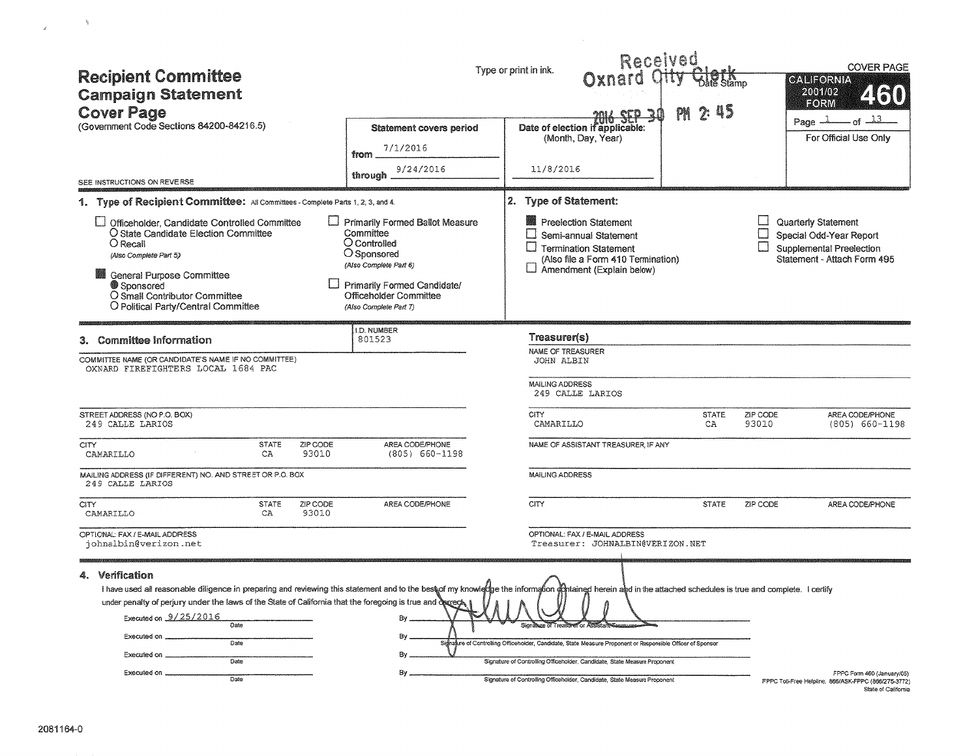| <b>Recipient Committee</b><br><b>Campaign Statement</b><br><b>Cover Page</b><br>(Government Code Sections 84200-84216.5)                                                                                                                                      |                      |                   | <b>Statement covers period</b><br>7/1/2016<br>from<br>9/24/2016                                                                                                                                                                   | Type or print in ink.<br>11/8/2016                  | Received<br>Oxnard C<br><u>sta 30</u><br><b>Date of election if applicable:</b><br>(Month, Day, Year)                                                                                                                                                          |              |          | <b>COVER PAGE</b><br><b>GALIFORNIA</b><br>2001/02<br><b>FORM</b><br>Page $-1$<br><u>- 13 - م</u><br>For Official Use Only |
|---------------------------------------------------------------------------------------------------------------------------------------------------------------------------------------------------------------------------------------------------------------|----------------------|-------------------|-----------------------------------------------------------------------------------------------------------------------------------------------------------------------------------------------------------------------------------|-----------------------------------------------------|----------------------------------------------------------------------------------------------------------------------------------------------------------------------------------------------------------------------------------------------------------------|--------------|----------|---------------------------------------------------------------------------------------------------------------------------|
| SEE INSTRUCTIONS ON REVERSE                                                                                                                                                                                                                                   |                      |                   | through                                                                                                                                                                                                                           |                                                     |                                                                                                                                                                                                                                                                |              |          |                                                                                                                           |
| 1. Type of Recipient Committee: All Committees - Complete Parts 1, 2, 3, and 4.                                                                                                                                                                               |                      |                   |                                                                                                                                                                                                                                   | 2. Type of Statement:                               |                                                                                                                                                                                                                                                                |              |          |                                                                                                                           |
| <b>ID</b> Officeholder, Candidate Controlled Committee<br>O State Candidate Election Committee<br>O Recall<br>(Also Complete Part 5)<br><b>General Purpose Committee</b><br>Sponsored<br>O Small Contributor Committee<br>O Political Party/Central Committee |                      |                   | Primarily Formed Ballot Measure<br>Committee<br>O Controlled<br>O Sponsored<br>(Also Complete Part 6)<br>Primarily Formed Candidate/<br>Officeholder Committee<br>(Also Complete Part 7)                                          | $\sqcup$                                            | Preelection Statement<br>Semi-annual Statement<br>$\Box$ Termination Statement<br>(Also file a Form 410 Termination)<br>$\Box$ Amendment (Explain below)                                                                                                       |              |          | Quarterly Statement<br>Special Odd-Year Report<br>Supplemental Preelection<br>Statement - Attach Form 495                 |
| <b>Committee Information</b>                                                                                                                                                                                                                                  |                      |                   | I.D. NUMBER<br>801523                                                                                                                                                                                                             | Treasurer(s)                                        |                                                                                                                                                                                                                                                                |              |          |                                                                                                                           |
| COMMITTEE NAME (OR CANDIDATE'S NAME IF NO COMMITTEE)<br>OXNARD FIREFIGHTERS LOCAL 1684 PAC<br>STREET ADDRESS (NO P.O. BOX)                                                                                                                                    |                      |                   |                                                                                                                                                                                                                                   | JOHN ALBIN<br><b>MAILING ADDRESS</b><br><b>CITY</b> | 249 CALLE LARIOS                                                                                                                                                                                                                                               | <b>STATE</b> | ZIP CODE | AREA CODE/PHONE                                                                                                           |
| 249 CALLE LARIOS                                                                                                                                                                                                                                              |                      |                   |                                                                                                                                                                                                                                   | CAMARILLO                                           |                                                                                                                                                                                                                                                                | CA           | 93010    | $(805) 660 - 1198$                                                                                                        |
| <b>CITY</b><br>CAMARILLO                                                                                                                                                                                                                                      | <b>STATE</b><br>CA   | ZIP CODE<br>93010 | AREA CODE/PHONE<br>$(805) 660 - 1198$                                                                                                                                                                                             |                                                     | NAME OF ASSISTANT TREASURER. IF ANY                                                                                                                                                                                                                            |              |          |                                                                                                                           |
| MAILING ADDRESS (IF DIFFERENT) NO. AND STREET OR P.O. BOX<br>249 CALLE LARIOS                                                                                                                                                                                 |                      |                   |                                                                                                                                                                                                                                   | MAILING ADDRESS                                     |                                                                                                                                                                                                                                                                |              |          |                                                                                                                           |
| <b>CITY</b><br>CAMARILLO                                                                                                                                                                                                                                      | <b>STATE</b><br>CA   | ZIP CODE<br>93010 | AREA CODE/PHONE                                                                                                                                                                                                                   | <b>CITY</b>                                         |                                                                                                                                                                                                                                                                | <b>STATE</b> | ZIP CODE | AREA CODE/PHONE                                                                                                           |
| OPTIONAL: FAX / E-MAIL ADDRESS<br>johnalbin@verizon.net<br>4. Verification<br>under penalty of perjury under the laws of the State of California that the foregoing is true and degrect.<br>Executed on 9/25/2016<br>Executed on .<br>Executed on _           | Date<br>Date<br>Date |                   | I have used all reasonable diligence in preparing and reviewing this statement and to the best of my knowledge the information of thained herein and in the attached schedules is true and complete. I certify<br>By.<br>By<br>Вy |                                                     | OPTIONAL: FAX / E-MAIL ADDRESS<br>Treasurer: JOHNALBIN@VERIZON.NET<br>Signagure of Controlling Officeholder, Candidate, State Measure Proponent or Responsible Officer of Sponsor<br>Signature of Controlling Officeholder, Candidate, State Measure Proponent |              |          |                                                                                                                           |
| Executed on _                                                                                                                                                                                                                                                 | Date                 |                   | By                                                                                                                                                                                                                                |                                                     | Signature of Controlling Officeholder, Candidate, State Measure Proponent                                                                                                                                                                                      |              |          | FPPC Form 460 (January/05)<br>FPPC Toll-Free Helpline: 866/ASK-FPPC (866/275-3772)<br>State of California                 |

 $\mathcal{M}^{\mathcal{M}}$ 

 $\tilde{\epsilon}$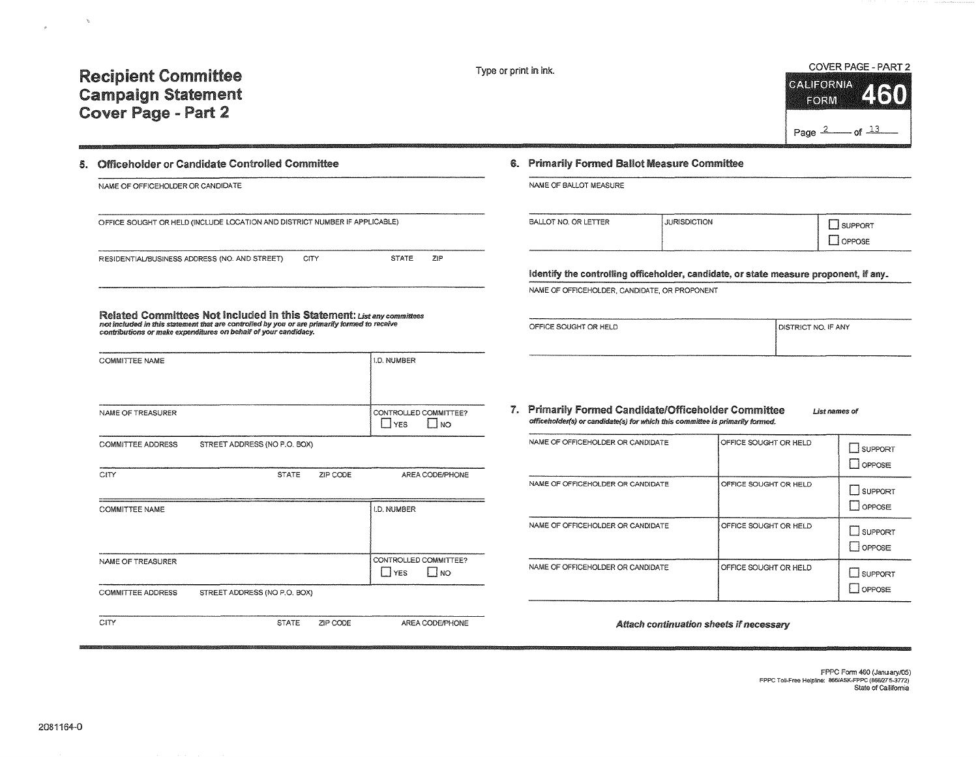## Recipient Committee Campaign Statement Cover Page - Part 2



### 5. Officeholder or Candidate Controlled Committee

| NAME OF OFFICEHOLDER OR CANDIDATE                                                                                                                                                                                                         |             |              |     |
|-------------------------------------------------------------------------------------------------------------------------------------------------------------------------------------------------------------------------------------------|-------------|--------------|-----|
| OFFICE SOUGHT OR HELD (INCLUDE LOCATION AND DISTRICT NUMBER IF APPLICABLE)                                                                                                                                                                |             |              |     |
| RESIDENTIAL/BUSINESS ADDRESS (NO. AND STREET)                                                                                                                                                                                             | <b>CITY</b> | <b>STATE</b> | ZIP |
|                                                                                                                                                                                                                                           |             |              |     |
| Related Committees Not Included in this Statement: List any committees<br>not included in this statement that are controlled by you or are primarily formed to receive<br>contributions or make expenditures on behalf of your candidacy. |             |              |     |

COMMITTEE NAME l.D. NUMBER NAME OF TREASURER CONTROLLED COMMITTEE?  $\Box$  YES COMMITTEE ADDRESS STREET ADDRESS (NO P.O. BOX) CITY STATE ZIP CODE AREA CODE/PHONE COMMITTEE NAME l.D. NUMBER

# NAME OF TREASURER CONTROLLED COMMITTEE?  $\Box$ YES  $\Box$ NO COMMITTEE ADDRESS STREET ADDRESS (NO P.O. BOX) CITY STATE ZIP CODE AREA CODE/PHONE

#### 6. Primarily Formed Ballot Measure Committee

| NAME OF BALLOT MEASURE. |  |  |  |  |
|-------------------------|--|--|--|--|
|-------------------------|--|--|--|--|

| BALLOT NO. OR LETTER | <b>JURISDICTION</b> | <b>JPPORT</b> |
|----------------------|---------------------|---------------|
|                      |                     | <b>PPOSE</b>  |

Identify the controlling officeholder, candidate, or state measure proponent, if any.

NAME OF OFFICEHOLDER, CANDIDATE, OR PROPONENT

| OFFICE SOUGHT OR HELD<br><b>I DISTRICT NO. IF ANY</b> |  |
|-------------------------------------------------------|--|
|                                                       |  |
|                                                       |  |
|                                                       |  |

#### 1. Primarily Formed Candidate/Officeholder Committee officeho/der(s} or candidate(s) for which this committee is primarily formed. **List names of**

| NAME OF OFFICEHOLDER OR CANDIDATE | OFFICE SOUGHT OR HELD | SUPPORT<br>$I$ OPPOSE |
|-----------------------------------|-----------------------|-----------------------|
| NAME OF OFFICEHOLDER OR CANDIDATE | OFFICE SOUGHT OR HELD | SUPPORT<br>loppose    |
| NAME OF OFFICEHOLDER OR CANDIDATE | OFFICE SOUGHT OR HELD | SUPPORT<br>  loppose  |
| NAME OF OFFICEHOLDER OR CANDIDATE | OFFICE SOUGHT OR HELD | SUPPORT<br>OPPOSE     |

#### Attach continuation sheets if necessary

#### FPPC Fonn 460 (January/OS) **FPPC** Tol!~Free **Helpline:** 8\$6/ASK~F?PC **(8661275.3n2)**  State of California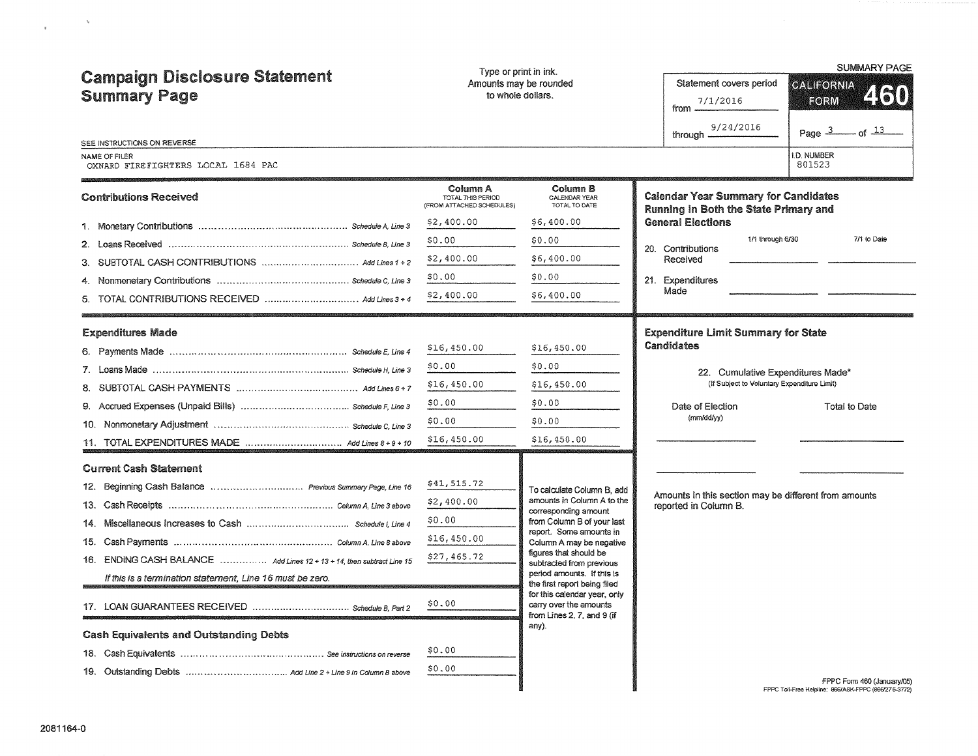| <b>Campaign Disclosure Statement</b><br><b>Summary Page</b><br>SEE INSTRUCTIONS ON REVERSE | Type or print in ink.<br>to whole dollars.                 | Amounts may be rounded                                                               | Statement covers period<br>7/1/2016<br>from -<br>9/24/2016<br>through -                                                                                  | <b>SUMMARY PAGE</b><br><b>GALIFORNIA</b><br>2160<br>FORM<br>Page $3 - 0$ of $13 - 13$<br>D. NUMBER |  |  |
|--------------------------------------------------------------------------------------------|------------------------------------------------------------|--------------------------------------------------------------------------------------|----------------------------------------------------------------------------------------------------------------------------------------------------------|----------------------------------------------------------------------------------------------------|--|--|
| NAME OF FILER<br>OXNARD FIREFIGHTERS LOCAL 1684 PAC                                        |                                                            |                                                                                      |                                                                                                                                                          | 801523                                                                                             |  |  |
| <b>Contributions Received</b>                                                              | Column A<br>TOTAL THIS PERIOD<br>(FROM ATTACHED SCHEDULES) | Column B<br>CALENDAR YEAR<br>TOTAL TO DATE                                           | <b>Calendar Year Summary for Candidates</b><br>Running in Both the State Primary and                                                                     |                                                                                                    |  |  |
|                                                                                            | \$2,400.00                                                 | \$6,400.00                                                                           | <b>General Elections</b>                                                                                                                                 |                                                                                                    |  |  |
|                                                                                            | \$0.00                                                     | \$0.00                                                                               | 1/1 through 6/30<br>20. Contributions                                                                                                                    | 7/1 to Date                                                                                        |  |  |
|                                                                                            | \$2,400.00                                                 | \$6,400.00                                                                           | Received                                                                                                                                                 |                                                                                                    |  |  |
|                                                                                            | \$0.00                                                     | \$0.00                                                                               | 21. Expenditures                                                                                                                                         |                                                                                                    |  |  |
| 5. TOTAL CONTRIBUTIONS RECEIVED  Add Lines 3 + 4                                           | \$2,400.00                                                 | \$6,400.00                                                                           | Made                                                                                                                                                     |                                                                                                    |  |  |
| <b>Expenditures Made</b>                                                                   |                                                            |                                                                                      | <b>Expenditure Limit Summary for State</b>                                                                                                               |                                                                                                    |  |  |
|                                                                                            | \$16,450.00                                                | \$16,450.00                                                                          | Candidates<br>22. Cumulative Expenditures Made*<br>(if Subject to Voluntary Expenditure Limit)<br>Date of Election<br><b>Total to Date</b><br>(mm/dd/yy) |                                                                                                    |  |  |
|                                                                                            | \$0.00                                                     | \$0.00                                                                               |                                                                                                                                                          |                                                                                                    |  |  |
|                                                                                            | \$16,450.00                                                | \$16,450.00                                                                          |                                                                                                                                                          |                                                                                                    |  |  |
|                                                                                            | \$0.00                                                     | \$0.00                                                                               |                                                                                                                                                          |                                                                                                    |  |  |
|                                                                                            | \$0.00                                                     | \$0.00                                                                               |                                                                                                                                                          |                                                                                                    |  |  |
|                                                                                            | \$16,450.00                                                | \$16,450.00                                                                          |                                                                                                                                                          |                                                                                                    |  |  |
| <b>Current Cash Statement</b>                                                              |                                                            |                                                                                      |                                                                                                                                                          |                                                                                                    |  |  |
| 12. Beginning Cash Balance  Previous Summary Page, Line 16                                 | \$41,515.72                                                | To calculate Column B, add                                                           |                                                                                                                                                          |                                                                                                    |  |  |
|                                                                                            | \$2,400.00                                                 | amounts in Column A to the<br>corresponding amount                                   | Amounts in this section may be different from amounts<br>reported in Column B.                                                                           |                                                                                                    |  |  |
|                                                                                            | \$0.00                                                     | from Column B of your last                                                           |                                                                                                                                                          |                                                                                                    |  |  |
|                                                                                            | \$16,450.00                                                | report. Some amounts in<br>Column A may be negative                                  |                                                                                                                                                          |                                                                                                    |  |  |
| 16. ENDING CASH BALANCE  Add Lines 12 + 13 + 14, then subtract Line 15                     | \$27,465.72                                                | figures that should be<br>subtracted from previous                                   |                                                                                                                                                          |                                                                                                    |  |  |
| If this is a termination statement, Line 16 must be zero.                                  |                                                            | period amounts. If this is<br>the first report being filed                           |                                                                                                                                                          |                                                                                                    |  |  |
|                                                                                            | \$0.00                                                     | for this calendar year, only<br>carry over the amounts<br>from Lines 2, 7, and 9 (if |                                                                                                                                                          |                                                                                                    |  |  |
| <b>Cash Equivalents and Outstanding Debts</b>                                              |                                                            | any).                                                                                |                                                                                                                                                          |                                                                                                    |  |  |
|                                                                                            | \$0.00                                                     |                                                                                      |                                                                                                                                                          |                                                                                                    |  |  |
|                                                                                            | \$0.00                                                     |                                                                                      |                                                                                                                                                          |                                                                                                    |  |  |
|                                                                                            |                                                            |                                                                                      |                                                                                                                                                          | FPPC Form 460 (January/05)<br>FPPC Toll-Free Helpline: 866/ASK-FPPC (866/275-3772)                 |  |  |

 $\label{eq:psi} \Psi_{\rm{eff}} = \frac{1}{2} \left( \frac{1}{\sqrt{2}} \right)^{2} \left( \frac{1}{2} \right)^{2}$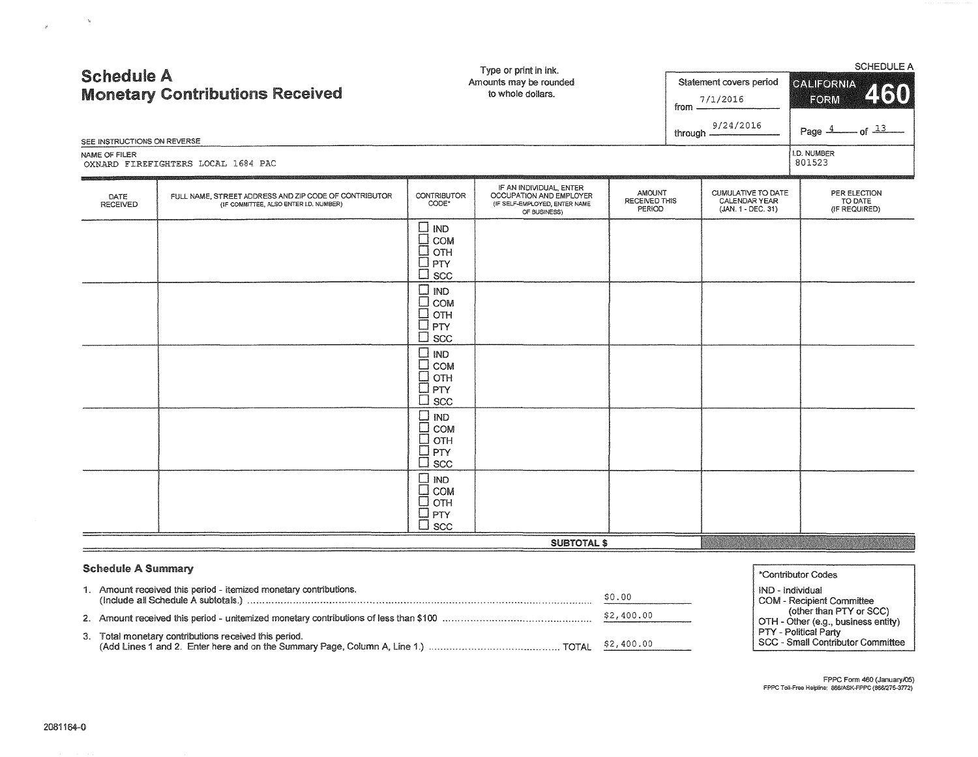|                             |                                                                                                 | Type or print in ink.<br>Amounts may be rounded<br>to whole dollars.     |                                                                                                     |                                   | <b>SCHEDULE A</b> |                                                                  |                                          |  |  |
|-----------------------------|-------------------------------------------------------------------------------------------------|--------------------------------------------------------------------------|-----------------------------------------------------------------------------------------------------|-----------------------------------|-------------------|------------------------------------------------------------------|------------------------------------------|--|--|
| <b>Schedule A</b>           | <b>Monetary Contributions Received</b>                                                          |                                                                          |                                                                                                     |                                   | from $\equiv$     | Statement covers period<br>7/1/2016                              | CALIFORNIA<br>460<br>FORM                |  |  |
| SEE INSTRUCTIONS ON REVERSE |                                                                                                 |                                                                          |                                                                                                     |                                   | through —         | 9/24/2016                                                        | $-$ of $\frac{13}{2}$<br>Page $4$        |  |  |
| NAME OF FILER               | OXNARD FIREFIGHTERS LOCAL 1684 PAC                                                              |                                                                          |                                                                                                     |                                   |                   |                                                                  | <b>I.D. NUMBER</b><br>801523             |  |  |
| DATE<br>RECEIVED            | FULL NAME, STREET ADDRESS AND ZIP CODE OF CONTRIBUTOR<br>(IF COMMITTEE, ALSO ENTER I.D. NUMBER) | <b>CONTRIBUTOR</b><br>CODE*                                              | IF AN INDIVIDUAL, ENTER<br>OCCUPATION AND EMPLOYER<br>(IF SELF-EMPLOYED, ENTER NAME<br>OF BUSINESS) | AMOUNT<br>RECEIVED THIS<br>PERIOD |                   | <b>CUMULATIVE TO DATE</b><br>CALENDAR YEAR<br>(JAN. 1 - DEC. 31) | PER ELECTION<br>TO DATE<br>(IF REQUIRED) |  |  |
|                             |                                                                                                 | Ш<br>IND<br>П<br><b>COM</b><br>OTH<br>PTY<br>÷<br>SCC                    |                                                                                                     |                                   |                   |                                                                  |                                          |  |  |
|                             |                                                                                                 | ٦<br><b>IND</b><br>COM<br>$\Box$<br>OTH<br>$\Box$ PTY<br>l scc<br>$\Box$ |                                                                                                     |                                   |                   |                                                                  |                                          |  |  |
|                             |                                                                                                 | $\square$ ind<br>П<br>COM<br>OTH<br>PTY<br>┚<br>┚<br><b>SCC</b>          |                                                                                                     |                                   |                   |                                                                  |                                          |  |  |
|                             |                                                                                                 | O ind<br>$\Box$ COM<br>$\square$ отн<br>$\Box$ PTY<br>$\square$ scc      |                                                                                                     |                                   |                   |                                                                  |                                          |  |  |
|                             |                                                                                                 | OM $\Box$<br>COM<br>OTH<br><b>PTY</b><br>⊣<br>$\sqcup$ scc               |                                                                                                     |                                   |                   |                                                                  |                                          |  |  |
|                             |                                                                                                 |                                                                          | <b>SUBTOTAL \$</b>                                                                                  |                                   |                   |                                                                  |                                          |  |  |
|                             |                                                                                                 |                                                                          |                                                                                                     |                                   |                   |                                                                  |                                          |  |  |

#### Schedule A Summary

| <b>Schedule A Summary</b>                                         | *Contributor Codes |                                                                          |
|-------------------------------------------------------------------|--------------------|--------------------------------------------------------------------------|
| 1. Amount received this period - itemized monetary contributions. | \$0.00             | ND - Individual<br>COM - Recipient Committee                             |
|                                                                   | \$2,400.00         | (other than PTY or SCC)<br>OTH - Other (e.g., business entity)           |
| 3. Total monetary contributions received this period.             |                    | <b>PTY - Political Party</b><br><b>SCC - Small Contributor Committee</b> |

FPPC Form 460 (January/05) **FPPC T oll·Free Hefpline: 866/ASK·FPPC (8661275-3n2)** 

 $\mathcal{B}^{\mathcal{C}}$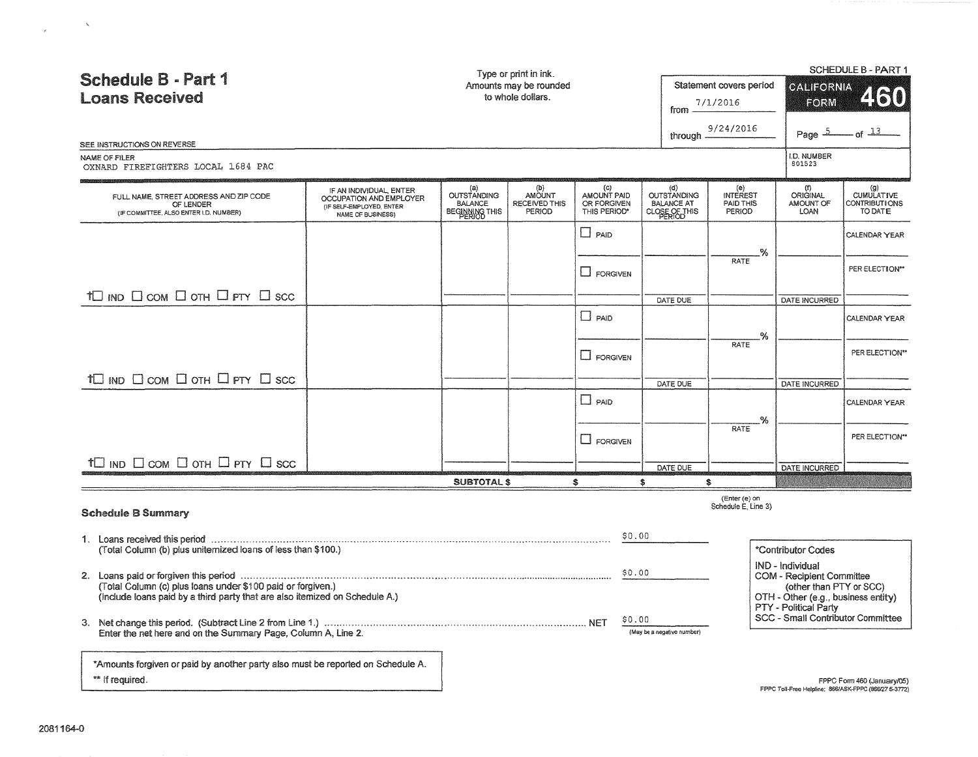| <b>Schedule B - Part 1</b><br><b>Loans Received</b>                                                                                                                                                                                                                                                                                                                          |                                                                                                     |                                                               | Type or print in ink.<br>Amounts may be rounded<br>to whole dollars. |                                                              | Statement covers period<br><b>CALIFORNIA</b><br>FORM<br>7/1/2016<br>from<br>9/24/2016<br>through                          |                                        |                                                                   | SCHEDULE B - PART 1<br>21610<br>of $13$                                             |
|------------------------------------------------------------------------------------------------------------------------------------------------------------------------------------------------------------------------------------------------------------------------------------------------------------------------------------------------------------------------------|-----------------------------------------------------------------------------------------------------|---------------------------------------------------------------|----------------------------------------------------------------------|--------------------------------------------------------------|---------------------------------------------------------------------------------------------------------------------------|----------------------------------------|-------------------------------------------------------------------|-------------------------------------------------------------------------------------|
| SEE INSTRUCTIONS ON REVERSE<br>NAME OF FILER                                                                                                                                                                                                                                                                                                                                 |                                                                                                     |                                                               |                                                                      |                                                              |                                                                                                                           |                                        | Page $5$<br>I.D. NUMBER                                           |                                                                                     |
| OXNARD FIREFIGHTERS LOCAL 1684 PAC                                                                                                                                                                                                                                                                                                                                           |                                                                                                     |                                                               |                                                                      |                                                              |                                                                                                                           |                                        | 801523                                                            |                                                                                     |
| FULL NAME, STREET ADDRESS AND ZIP CODE<br>OF LENDER<br>(IF COMMITTEE, ALSO ENTER I.D. NUMBER)                                                                                                                                                                                                                                                                                | IF AN INDIVIDUAL, ENTER<br>OCCUPATION AND EMPLOYER<br>(IF SELF-EMPLOYED, ENTER<br>NAME OF BUSINESS) | (a)<br><b>OUTSTANDING</b><br><b>BALANCE</b><br>BEGINNING THIS | (b)<br>AMOUNT<br>RECEIVED THIS<br>PERIOD                             | $\mathbf{(c)}$<br>AMOUNT PAID<br>OR FORGIVEN<br>THIS PERIOD* | $\left( \alpha \right)$<br><b>OUTSTANDING</b><br><b>BALANCE AT</b><br>CLOSE OF THIS                                       | (e)<br>INTEREST<br>PAID THIS<br>PERIOD | (f)<br><b>ORIGINAL</b><br>AMOUNT OF<br><b>LOAN</b>                | (g)<br>CUMULATIVE<br>CONTRIBUTIONS<br>TO DATE                                       |
|                                                                                                                                                                                                                                                                                                                                                                              |                                                                                                     |                                                               |                                                                      | $\Box$ PAID                                                  |                                                                                                                           | -%                                     |                                                                   | CALENDAR YEAR                                                                       |
|                                                                                                                                                                                                                                                                                                                                                                              |                                                                                                     |                                                               |                                                                      | <b>L</b> FORGIVEN                                            |                                                                                                                           | RATE                                   |                                                                   | PER ELECTION**                                                                      |
| TO IND OCOM O OTH O PTY O SCC                                                                                                                                                                                                                                                                                                                                                |                                                                                                     |                                                               |                                                                      |                                                              | DATE DUE                                                                                                                  |                                        | DATE INCURRED                                                     |                                                                                     |
|                                                                                                                                                                                                                                                                                                                                                                              |                                                                                                     |                                                               |                                                                      | $\Box$ PAID                                                  |                                                                                                                           | %                                      |                                                                   | CALENDAR YEAR                                                                       |
|                                                                                                                                                                                                                                                                                                                                                                              |                                                                                                     |                                                               |                                                                      | LI FORGIVEN                                                  |                                                                                                                           | <b>RATE</b>                            |                                                                   | PER ELECTION**                                                                      |
| $\dagger \Box$ ind $\Box$ com $\Box$ oth $\Box$ pty $\Box$ scc                                                                                                                                                                                                                                                                                                               |                                                                                                     |                                                               |                                                                      |                                                              | DATE DUE                                                                                                                  |                                        | DATE INCURRED                                                     |                                                                                     |
|                                                                                                                                                                                                                                                                                                                                                                              |                                                                                                     |                                                               |                                                                      | $\square$ paid                                               |                                                                                                                           | .%                                     |                                                                   | CALENDAR YEAR                                                                       |
|                                                                                                                                                                                                                                                                                                                                                                              |                                                                                                     |                                                               |                                                                      | $\Box$ FORGIVEN                                              |                                                                                                                           | <b>RATE</b>                            |                                                                   | PER ELECTION**                                                                      |
| $+ \Box$ ind $\Box$ com $\Box$ oth $\Box$ pty $\Box$ scc                                                                                                                                                                                                                                                                                                                     |                                                                                                     |                                                               |                                                                      |                                                              | DATE DUE                                                                                                                  |                                        | DATE INCURRED                                                     |                                                                                     |
|                                                                                                                                                                                                                                                                                                                                                                              |                                                                                                     | <b>SUBTOTAL \$</b>                                            |                                                                      | \$                                                           | s                                                                                                                         | \$<br>(Enter (e) on                    |                                                                   |                                                                                     |
| <b>Schedule B Summary</b>                                                                                                                                                                                                                                                                                                                                                    |                                                                                                     |                                                               |                                                                      |                                                              |                                                                                                                           | Schedule E. Line 3)                    |                                                                   |                                                                                     |
| (Total Column (b) plus uniternized loans of less than \$100.)                                                                                                                                                                                                                                                                                                                |                                                                                                     |                                                               |                                                                      | \$0.00                                                       |                                                                                                                           |                                        | *Contributor Codes                                                |                                                                                     |
| 2. Loans paid or forgiven this period measurement contains and contained and contained and contained and contained and contained and contained and contained and contained and contained and contained and contained and conta<br>(Total Column (c) plus loans under \$100 paid or forgiven.)<br>(include loans paid by a third party that are also itemized on Schedule A.) |                                                                                                     |                                                               |                                                                      |                                                              | IND - Individual<br>\$0.00<br>COM - Recipient Committee<br>(other than PTY or SCC)<br>OTH - Other (e.g., business entity) |                                        |                                                                   |                                                                                     |
| Enter the net here and on the Summary Page, Column A, Line 2.                                                                                                                                                                                                                                                                                                                |                                                                                                     |                                                               |                                                                      | \$0.00                                                       | (May be a negative number)                                                                                                |                                        | PTY - Political Party<br><b>SCC - Small Contributor Committee</b> |                                                                                     |
| *Amounts forgiven or paid by another party also must be reported on Schedule A.<br>** If required.                                                                                                                                                                                                                                                                           |                                                                                                     |                                                               |                                                                      |                                                              |                                                                                                                           |                                        |                                                                   | FPPC Form 460 (January/05)<br>FPPC Toll-Free Helpline: 866/ASK-FPPC (866/27 5-3772) |

 $\label{eq:R1} \mathcal{R} = \frac{1}{\sqrt{2\pi}}\sum_{i=1}^{\infty}\frac{1}{i} \sum_{j=1}^{\infty}\frac{1}{j} \sum_{j=1}^{\infty}\frac{1}{j} \sum_{j=1}^{\infty}\frac{1}{j} \sum_{j=1}^{\infty}\frac{1}{j} \sum_{j=1}^{\infty}\frac{1}{j} \sum_{j=1}^{\infty}\frac{1}{j} \sum_{j=1}^{\infty}\frac{1}{j} \sum_{j=1}^{\infty}\frac{1}{j} \sum_{j=1}^{\infty}\frac{1}{j} \sum_{j=1}^{\infty}\frac$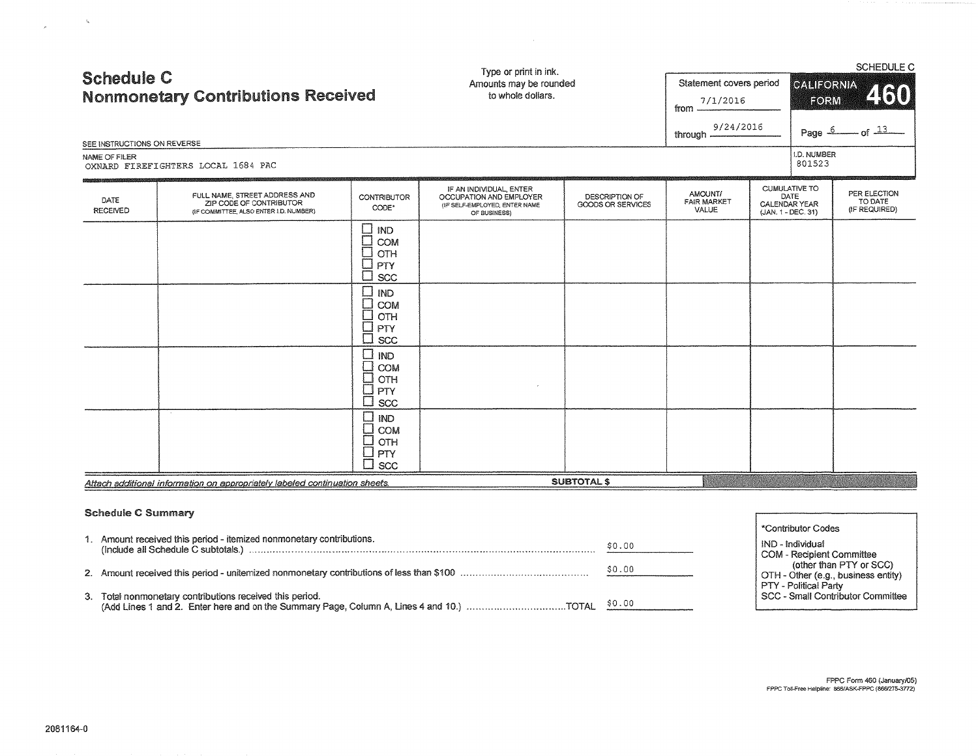| <b>Schedule C</b><br><b>Nonmonetary Contributions Received</b><br>SEE INSTRUCTIONS ON REVERSE<br>NAME OF FILER<br>OXNARD FIREFIGHTERS LOCAL 1684 PAC |                                                                                                    |                                                                                 | Type or print in ink.<br>Amounts may be rounded<br>to whole dollars.                                | Statement covers period<br>7/1/2016<br>from<br>9/24/2016<br>through $\equiv$ |                                        | SCHEDULE C<br>CALIFORNIA<br>460<br>FORM<br>$\sigma$ $\frac{13}{2}$<br>Page 6<br>I.D. NUMBER<br>801523 |                              |                                          |
|------------------------------------------------------------------------------------------------------------------------------------------------------|----------------------------------------------------------------------------------------------------|---------------------------------------------------------------------------------|-----------------------------------------------------------------------------------------------------|------------------------------------------------------------------------------|----------------------------------------|-------------------------------------------------------------------------------------------------------|------------------------------|------------------------------------------|
| DATE<br>RECEIVED                                                                                                                                     | FULL NAME, STREET ADDRESS AND<br>ZIP CODE OF CONTRIBUTOR<br>(IF COMMITTEE, ALSO ENTER I.D. NUMBER) | <b>CONTRIBUTOR</b><br>CODE*                                                     | IF AN INDIVIDUAL, ENTER<br>OCCUPATION AND EMPLOYER<br>(IF SELF-EMPLOYED, ENTER NAME<br>OF BUSINESS) | DESCRIPTION OF<br>GOODS OR SERVICES                                          | AMOUNT/<br><b>FAIR MARKET</b><br>VALUE | CALENDAR YEAR<br>(JAN. 1 - DEC. 31)                                                                   | <b>CUMULATIVE TO</b><br>DATE | PER ELECTION<br>TO DATE<br>(IF REQUIRED) |
|                                                                                                                                                      |                                                                                                    | ∐<br>IND<br>$\Box$<br>COM<br>OTH<br>PTY<br>SCC<br><b>IND</b><br>П<br>COM<br>OTH |                                                                                                     |                                                                              |                                        |                                                                                                       |                              |                                          |
|                                                                                                                                                      |                                                                                                    | PTY<br><b>SCC</b>                                                               |                                                                                                     |                                                                              |                                        |                                                                                                       |                              |                                          |
|                                                                                                                                                      |                                                                                                    | <b>IND</b><br>COM<br>OTH<br>$\Box$<br>PTY<br><b>SCC</b>                         |                                                                                                     |                                                                              |                                        |                                                                                                       |                              |                                          |
|                                                                                                                                                      |                                                                                                    | $\Box$<br><b>IND</b><br>o<br>Du<br>COM<br>OTH<br>  PTY<br>$\Box$ scc            |                                                                                                     |                                                                              |                                        |                                                                                                       |                              |                                          |
|                                                                                                                                                      | Attach additional information on appropriately labeled continuation sheets.                        |                                                                                 |                                                                                                     | <b>SUBTOTAL \$</b>                                                           |                                        |                                                                                                       |                              |                                          |

#### Schedule C Summary

|                                                                      |        | *Contributor Codes                                             |
|----------------------------------------------------------------------|--------|----------------------------------------------------------------|
| 1. Amount received this period - itemized nonmonetary contributions. | \$0.00 | IND - Individual                                               |
|                                                                      |        | COM - Recipient Committee                                      |
|                                                                      | \$0.00 | (other than PTY or SCC)<br>OTH - Other (e.g., business entity) |
|                                                                      |        | PTY - Political Party                                          |
| 3. Total nonmonetary contributions received this period.             |        | SCC - Small Contributor Committee                              |
|                                                                      |        |                                                                |

 $\label{eq:1} \mathcal{Q}_{\mathcal{C}}(t) = \frac{1}{\sqrt{2\pi}}\sum_{i=1}^{\infty}\frac{1}{\sqrt{2\pi}}\sum_{i=1}^{\infty}\frac{1}{\sqrt{2\pi}}\sum_{i=1}^{\infty}\frac{1}{\sqrt{2\pi}}\sum_{i=1}^{\infty}\frac{1}{\sqrt{2\pi}}\sum_{i=1}^{\infty}\frac{1}{\sqrt{2\pi}}\sum_{i=1}^{\infty}\frac{1}{\sqrt{2\pi}}\sum_{i=1}^{\infty}\frac{1}{\sqrt{2\pi}}\sum_{i=1}^{\infty}\frac{1}{\sqrt{2\pi}}\$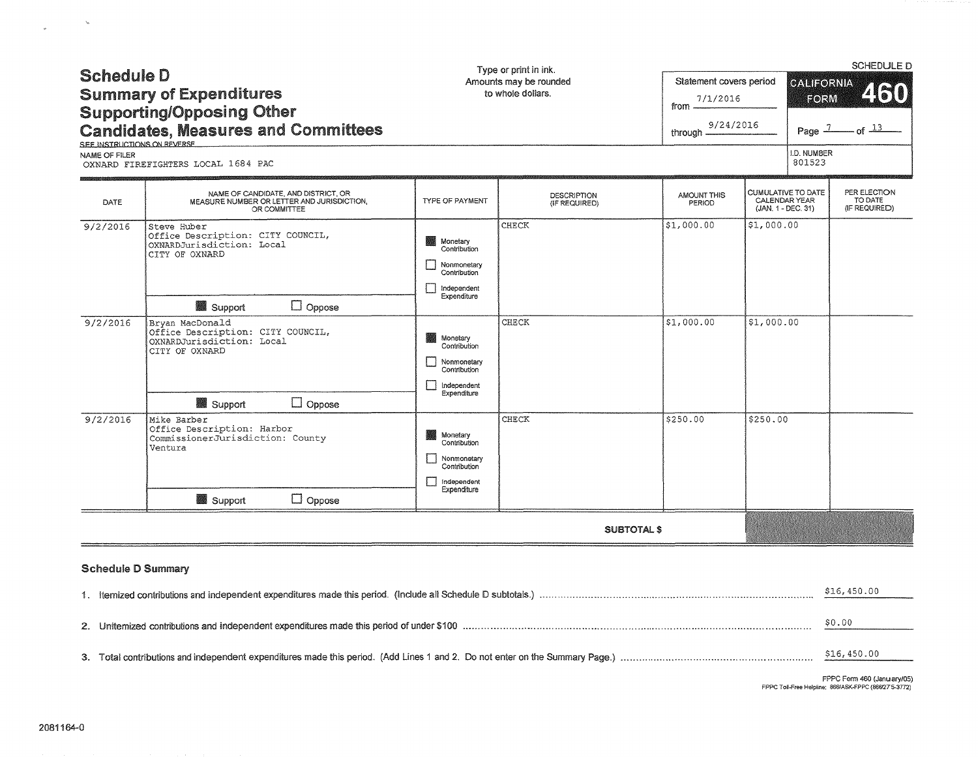| <b>Schedule D</b><br><b>Summary of Expenditures</b><br><b>Supporting/Opposing Other</b><br><b>Candidates, Measures and Committees</b><br>SEE INSTRUCTIONS ON REVERSE<br>NAME OF FILER<br>OXNARD FIREFIGHTERS LOCAL 1684 PAC |                                                                                                                                 | Type or print in ink.<br>Amounts may be rounded<br>to whole dollars.                                  | Statement covers period<br>7/1/2016<br>from -<br>9/24/2016<br>through - |                       | SCHEDULE D<br><b>CALIFORNIA</b><br>460<br>FORM<br>of $13$<br>Page $1$<br>I.D. NUMBER<br>801523 |  |                                          |
|-----------------------------------------------------------------------------------------------------------------------------------------------------------------------------------------------------------------------------|---------------------------------------------------------------------------------------------------------------------------------|-------------------------------------------------------------------------------------------------------|-------------------------------------------------------------------------|-----------------------|------------------------------------------------------------------------------------------------|--|------------------------------------------|
| DATE                                                                                                                                                                                                                        | NAME OF CANDIDATE, AND DISTRICT, OR<br>MEASURE NUMBER OR LETTER AND JURISDICTION.<br>OR COMMITTEE                               | <b>TYPE OF PAYMENT</b>                                                                                | DESCRIPTION<br>(IF REQUIRED)                                            | AMOUNT THIS<br>PERIOD | <b>CUMULATIVE TO DATE</b><br>CALENDAR YEAR<br>(JAN. 1 - DEC. 31)                               |  | PER ELECTION<br>TO DATE<br>(IF REQUIRED) |
| 9/2/2016                                                                                                                                                                                                                    | Steve Huber<br>Office Description: CITY COUNCIL,<br>OXNARDJurisdiction: Local<br>CITY OF OXNARD<br>$\Box$ Oppose<br>Support     | Monetary<br>Contribution<br>Nonmonetary<br>Contribution<br>Independent<br>Expenditure                 | CHECK                                                                   | \$1,000.00            | \$1,000.00                                                                                     |  |                                          |
| 9/2/2016                                                                                                                                                                                                                    | Bryan MacDonald<br>Office Description: CITY COUNCIL,<br>OXNARDJurisdiction: Local<br>CITY OF OXNARD<br>$\Box$ Oppose<br>Support | Monetary<br>Contribution<br>Nonmonetary<br>Contribution<br>Independent<br>$\mathbf{1}$<br>Expenditure | CHECK                                                                   | \$1,000.00            | \$1,000.00                                                                                     |  |                                          |
| 9/2/2016                                                                                                                                                                                                                    | Mike Barber<br>Office Description: Harbor<br>CommissionerJurisdiction: County<br>Ventura<br>$\Box$ Oppose<br>Support            | ▓▓<br>Monetary<br>Contribution<br>Nonmonetary<br>Contribution<br>П<br>independent<br>Expenditure      | CHECK                                                                   | \$250.00              | \$250.00                                                                                       |  |                                          |
|                                                                                                                                                                                                                             |                                                                                                                                 |                                                                                                       | <b>SUBTOTAL \$</b>                                                      |                       |                                                                                                |  |                                          |
| <b>Schedule D Summary</b>                                                                                                                                                                                                   |                                                                                                                                 |                                                                                                       |                                                                         |                       |                                                                                                |  |                                          |

|  | \$16,450.00 |  |  |  |  |  |
|--|-------------|--|--|--|--|--|
|  | \$0.00      |  |  |  |  |  |
|  |             |  |  |  |  |  |
|  | \$16,450.00 |  |  |  |  |  |

 $\label{eq:1} \frac{d\mathbf{r}}{dt} = \frac{d\mathbf{r}}{dt}$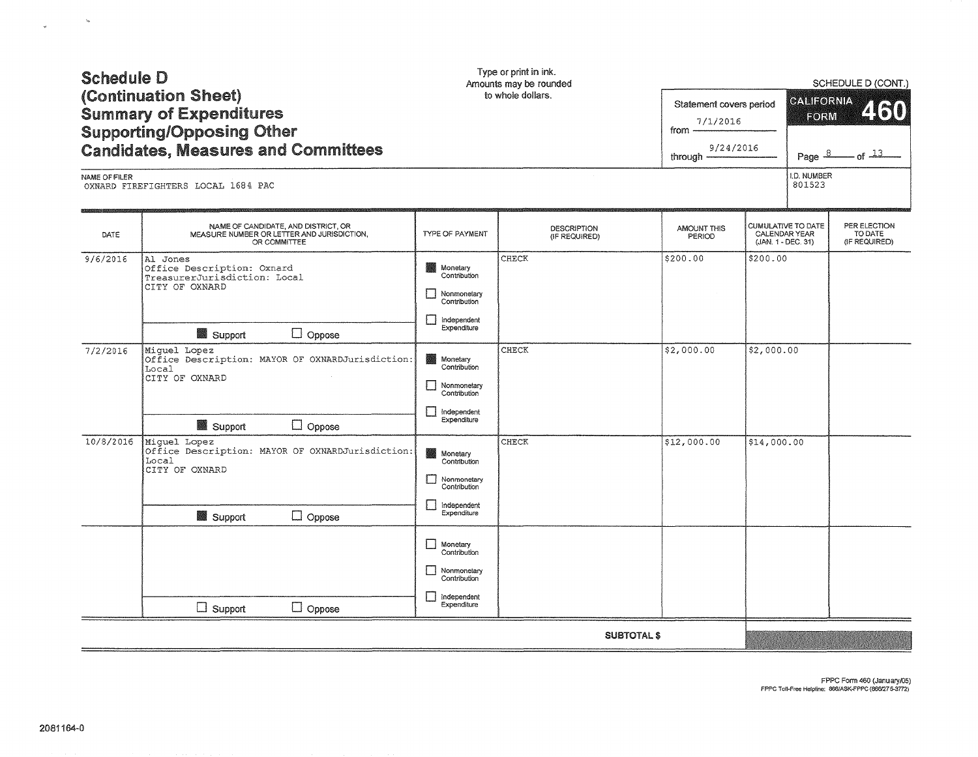| NAME OF FILER | OXNARD FIREFIGHTERS LOCAL 1684 PAC                                                                                      |                                                                                                                 |                              |                              | I.D. NUMBER<br>801523                                     |                                          |
|---------------|-------------------------------------------------------------------------------------------------------------------------|-----------------------------------------------------------------------------------------------------------------|------------------------------|------------------------------|-----------------------------------------------------------|------------------------------------------|
| DATE          | NAME OF CANDIDATE, AND DISTRICT, OR<br>MEASURE NUMBER OR LETTER AND JURISDICTION,<br>OR COMMITTEE                       | TYPE OF PAYMENT                                                                                                 | DESCRIPTION<br>(IF REQUIRED) | <b>AMOUNT THIS</b><br>PERIOD | CUMULATIVE TO DATE<br>CALENDAR YEAR<br>(JAN. 1 - DEC. 31) | PER ELECTION<br>TO DATE<br>(IF REQUIRED) |
| 9/6/2016      | Al Jones<br>Office Description: Oxnard<br>TreasurerJurisdiction: Local<br>CITY OF OXNARD<br>$\Box$ Oppose<br>Support    | Monetary<br>激动<br>Contribution<br>$\Box$<br>Nonmonetary<br>Contribution<br>Π<br>Independent<br>Expenditure      | CHECK                        | \$200.00                     | \$200.00                                                  |                                          |
| 7/2/2016      | Miguel Lopez<br>Office Description: MAYOR OF OXNARDJurisdiction:<br>Local<br>CITY OF OXNARD<br>Support<br>$\Box$ Oppose | Monetary<br>Contribution<br>ΙI<br>Nonmonetary<br>Contribution<br>$\blacksquare$<br>Independent<br>Expenditure   | <b>CHECK</b>                 | \$2,000.00                   | \$2,000.00                                                |                                          |
| 10/8/2016     | Miguel Lopez<br>Office Description: MAYOR OF OXNARDJurisdiction:<br>Local<br>CITY OF OXNARD<br>Support<br>$\Box$ Oppose | Monetary<br>Contribution<br>$\Box$<br>Nonmonetary<br>Contribution<br>П<br>Independent<br>Expenditure            | CHECK                        | \$12,000.00                  | \$14,000.00                                               |                                          |
|               | $\Box$ Support<br>$\Box$ Oppose                                                                                         | $\Box$<br>Monetary<br>Contribution<br>Nonmonetary<br>Contribution<br>$\mathsf{I}$<br>Independent<br>Expenditure |                              |                              |                                                           |                                          |
|               |                                                                                                                         |                                                                                                                 |                              | <b>SUBTOTAL \$</b>           |                                                           |                                          |
|               |                                                                                                                         |                                                                                                                 |                              |                              | FPPC Toll-Free Helpline: 866/ASK-FPPC (866/275-3772)      | FPPC Form 460 (January/05)               |

# Schedule D (Continuation Sheet) Summary of Expenditures Supporting/Opposing Other

 $\bar{u}_0$ 

 $\omega$ 

Type or print in ink. Amounts may be rounded

### to whole dollars.

Statement covers period **from**  $\frac{7/1/2016}{\ }$ ©ALIFORNIA<br>|-<br>| FORM

SCHEDULE D (CONT.)

 $460$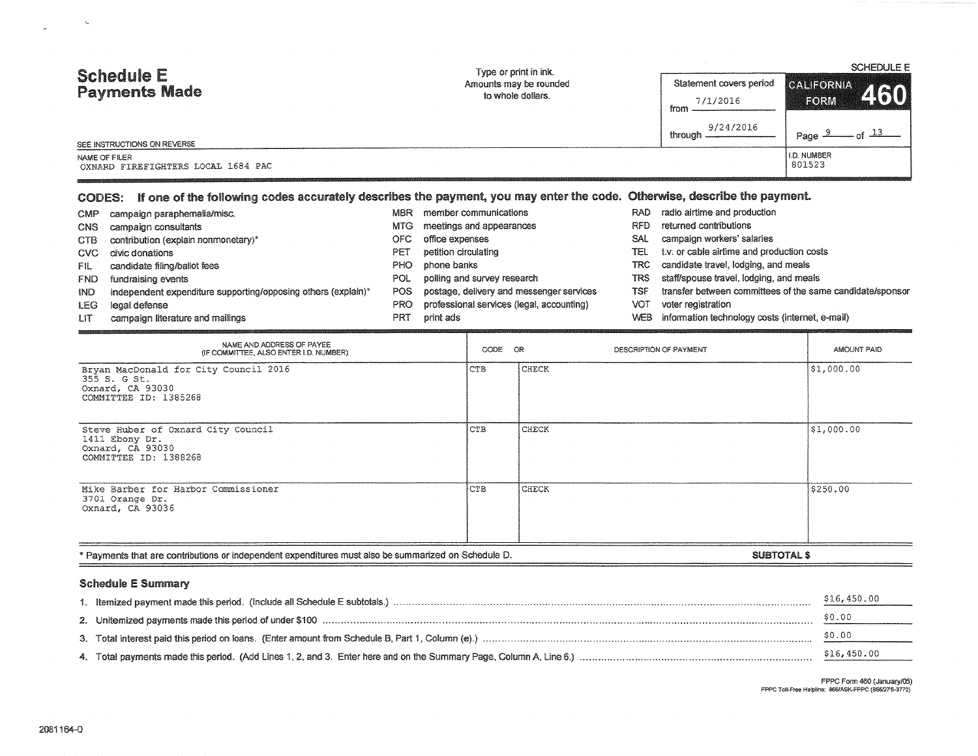| <b>Schedule E</b><br><b>Payments Made</b><br>SEE INSTRUCTIONS ON REVERSE<br>NAME OF FILER<br>OXNARD FIREFIGHTERS LOCAL 1684 PAC                                                                                                                                                                                                                                                                                                                                                                                                          |                                                                    | Type or print in ink.<br>Amounts may be rounded<br>to whole dollars.                                                                                                                                                                                 |                    |                                                                                                              | Statement covers period<br>7/1/2016<br>from<br>9/24/2016<br>through –                                                                                                                                                                                                                          | <b>SCHEDULE E</b><br><b>CALIFORNIA</b><br>460<br><b>EORM</b><br>$-$ of $13$<br>Page $\frac{9}{2}$<br>I.D. NUMBER<br>801523 |
|------------------------------------------------------------------------------------------------------------------------------------------------------------------------------------------------------------------------------------------------------------------------------------------------------------------------------------------------------------------------------------------------------------------------------------------------------------------------------------------------------------------------------------------|--------------------------------------------------------------------|------------------------------------------------------------------------------------------------------------------------------------------------------------------------------------------------------------------------------------------------------|--------------------|--------------------------------------------------------------------------------------------------------------|------------------------------------------------------------------------------------------------------------------------------------------------------------------------------------------------------------------------------------------------------------------------------------------------|----------------------------------------------------------------------------------------------------------------------------|
| If one of the following codes accurately describes the payment, you may enter the code. Otherwise, describe the payment.<br><b>CODES:</b><br>campaign paraphemalia/misc.<br>CMP<br>campaign consultants<br><b>CNS</b><br><b>CTB</b><br>contribution (explain nonmonetary)*<br><b>CVC</b><br>civic donations<br>candidate filing/ballot fees<br>FIL.<br><b>FND</b><br>fundraising events<br>independent expenditure supporting/opposing others (explain)*<br><b>IND</b><br>legal defense<br>LEG<br>campaign literature and mailings<br>LП | <b>MTG</b><br><b>OFC</b><br>PET<br>PHO<br>POL<br>POS<br>PRO<br>PRT | MBR member communications<br>meetings and appearances<br>office expenses<br>petition circulating<br>phone banks<br>polling and survey research<br>postage, delivery and messenger services<br>professional services (legal, accounting)<br>print ads |                    | RAD<br><b>RFD</b><br><b>SAL</b><br>TEL<br><b>TRC</b><br><b>TRS</b><br><b>TSF</b><br><b>VOT</b><br><b>WEB</b> | radio airtime and production<br>returned contributions<br>campaign workers' salaries<br>t.v. or cable airtime and production costs<br>candidate travel, lodging, and meals<br>staff/spouse travel, lodging, and meals<br>voter registration<br>information technology costs (internet, e-mail) | transfer between committees of the same candidate/sponsor                                                                  |
| NAME AND ADDRESS OF PAYEE<br>(IF COMMITTEE, ALSO ENTER I.D. NUMBER)<br>Bryan MacDonald for City Council 2016<br>355 S. G St.<br>Oxnard, CA 93030<br>COMMITTEE ID: 1385268                                                                                                                                                                                                                                                                                                                                                                |                                                                    | CODE<br><b>CTB</b>                                                                                                                                                                                                                                   | OR<br><b>CHECK</b> |                                                                                                              | DESCRIPTION OF PAYMENT                                                                                                                                                                                                                                                                         | AMOUNT PAID<br>\$1,000.00                                                                                                  |
| Steve Huber of Oxnard City Council<br>1411 Ebony Dr.<br>Oxnard, CA 93030<br>COMMITTEE ID: 1388268                                                                                                                                                                                                                                                                                                                                                                                                                                        |                                                                    | <b>CTB</b>                                                                                                                                                                                                                                           | CHECK              |                                                                                                              |                                                                                                                                                                                                                                                                                                | \$1,000.00                                                                                                                 |
| Mike Barber for Harbor Commissioner<br>3701 Orange Dr.<br>Oxnard, CA 93036                                                                                                                                                                                                                                                                                                                                                                                                                                                               |                                                                    | CTB                                                                                                                                                                                                                                                  | <b>CHECK</b>       |                                                                                                              |                                                                                                                                                                                                                                                                                                | \$250.00                                                                                                                   |
| * Payments that are contributions or independent expenditures must also be summarized on Schedule D.                                                                                                                                                                                                                                                                                                                                                                                                                                     |                                                                    |                                                                                                                                                                                                                                                      |                    |                                                                                                              | <b>SUBTOTAL \$</b>                                                                                                                                                                                                                                                                             |                                                                                                                            |

### Schedule E Summary

|                                                                                                                                                                                                                                 | \$16,450.00 |
|---------------------------------------------------------------------------------------------------------------------------------------------------------------------------------------------------------------------------------|-------------|
| 2. Unitemized payments made this period of under \$100 measurements and the content of the content of the state of the formulation of the formulation of the state of the content of the state of the state of the state of the | \$0.00      |
|                                                                                                                                                                                                                                 | \$0.00      |
|                                                                                                                                                                                                                                 | \$16,450.00 |

 $\label{eq:12} \mathcal{L}_{\mathbf{p}} =$  where  $\mathcal{L}_{\mathbf{p}}$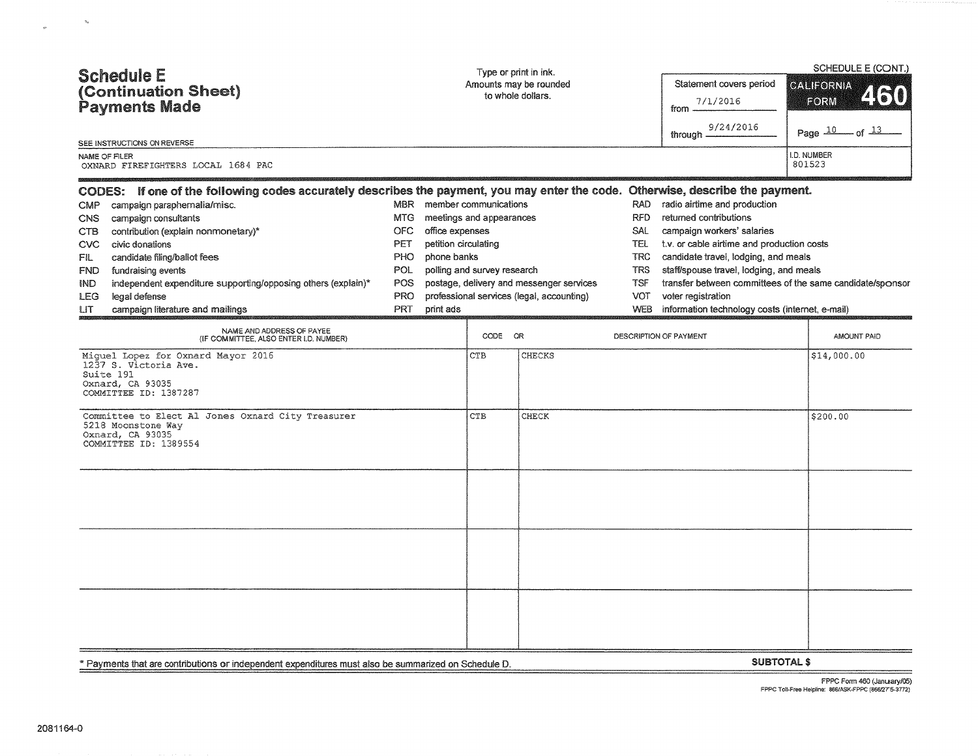|                                                                                                                                 |                        | Type or print in ink. |                             |                                           |            | SCHEDULE E (CONT.)                              |                    |                                                           |  |
|---------------------------------------------------------------------------------------------------------------------------------|------------------------|-----------------------|-----------------------------|-------------------------------------------|------------|-------------------------------------------------|--------------------|-----------------------------------------------------------|--|
| <b>Schedule E</b>                                                                                                               | Amounts may be rounded |                       |                             | Statement covers period                   |            | <b>CALIFORNIA</b>                               |                    |                                                           |  |
| (Continuation Sheet)                                                                                                            | to whole dollars.      |                       |                             |                                           | 7/1/2016   |                                                 | 4610<br>FORM       |                                                           |  |
| Payments Made                                                                                                                   |                        |                       |                             |                                           |            | from                                            |                    |                                                           |  |
| SEE INSTRUCTIONS ON REVERSE                                                                                                     |                        |                       |                             |                                           |            | 9/24/2016<br>through -                          |                    | Page 10 of 13                                             |  |
| NAME OF FILER                                                                                                                   |                        |                       |                             |                                           |            |                                                 |                    | I.D. NUMBER                                               |  |
| OXNARD FIREFIGHTERS LOCAL 1684 PAC                                                                                              |                        |                       |                             |                                           |            |                                                 |                    | 801523                                                    |  |
| CODES: If one of the following codes accurately describes the payment, you may enter the code. Otherwise, describe the payment. |                        |                       |                             |                                           |            |                                                 |                    |                                                           |  |
| <b>CMP</b><br>campaign paraphernalia/misc.                                                                                      | <b>MBR</b>             |                       | member communications       |                                           | <b>RAD</b> | radio airtime and production                    |                    |                                                           |  |
| campaign consultants<br><b>CNS</b>                                                                                              | <b>MTG</b>             |                       | meetings and appearances    |                                           | RFD        | returned contributions                          |                    |                                                           |  |
| contribution (explain nonmonetary)*<br><b>CTB</b>                                                                               | <b>OFC</b>             | office expenses       |                             |                                           | SAL        | campaign workers' salaries                      |                    |                                                           |  |
| civic donations<br><b>CVC</b>                                                                                                   | <b>PET</b>             | petition circulating  |                             |                                           | <b>TEL</b> | t.v. or cable airtime and production costs      |                    |                                                           |  |
| candidate filing/ballot fees<br>FIL                                                                                             | PHO                    | phone banks           |                             |                                           | <b>TRC</b> | candidate travel, lodging, and meals            |                    |                                                           |  |
| fundraising events<br><b>FND</b>                                                                                                | POL.                   |                       | polling and survey research |                                           | <b>TRS</b> | staff/spouse travel, lodging, and meals         |                    |                                                           |  |
| independent expenditure supporting/opposing others (explain)*<br><b>IND</b>                                                     | POS                    |                       |                             | postage, delivery and messenger services  | <b>TSF</b> |                                                 |                    | transfer between committees of the same candidate/sponsor |  |
| legal defense<br><b>LEG</b>                                                                                                     | PRO                    |                       |                             | professional services (legal, accounting) | <b>VOT</b> | voter registration                              |                    |                                                           |  |
| campaign literature and mailings<br>LIT.                                                                                        | PRT                    | print ads             |                             |                                           | <b>WEB</b> | information technology costs (internet, e-mail) |                    |                                                           |  |
| NAME AND ADDRESS OF PAYEE<br>(IF COMMITTEE, ALSO ENTER I.D. NUMBER)                                                             |                        |                       | CODE OR                     |                                           |            | DESCRIPTION OF PAYMENT                          |                    | AMOUNT PAID                                               |  |
| Miquel Lopez for Oxnard Mayor 2016<br>1237 S. Victoria Ave.<br>Suite 191<br>Oxnard, CA 93035<br>COMMITTEE ID: 1387287           |                        |                       | CTB                         | <b>CHECKS</b>                             |            |                                                 |                    | \$14,000.00                                               |  |
| Committee to Elect Al Jones Oxnard City Treasurer<br>5218 Moonstone Way<br>Oxnard, CA 93035<br>COMMITTEE ID: 1389554            |                        |                       | <b>CTB</b>                  | <b>CHECK</b>                              |            |                                                 |                    | \$200.00                                                  |  |
|                                                                                                                                 |                        |                       |                             |                                           |            |                                                 |                    |                                                           |  |
|                                                                                                                                 |                        |                       |                             |                                           |            |                                                 |                    |                                                           |  |
|                                                                                                                                 |                        |                       |                             |                                           |            |                                                 |                    |                                                           |  |
| * Payments that are contributions or independent expenditures must also be summarized on Schedule D.                            |                        |                       |                             |                                           |            |                                                 | <b>SUBTOTAL \$</b> |                                                           |  |

 $\label{eq:3.1} \delta_{\mathbf{k}} = \frac{1}{\sqrt{2\pi}}\sum_{i=1}^{N} \frac{1}{\sqrt{2\pi}}\sum_{i=1}^{N} \frac{1}{\sqrt{2\pi}}\sum_{i=1}^{N} \frac{1}{\sqrt{2\pi}}\sum_{i=1}^{N} \frac{1}{\sqrt{2\pi}}\sum_{i=1}^{N} \frac{1}{\sqrt{2\pi}}\sum_{i=1}^{N} \frac{1}{\sqrt{2\pi}}\sum_{i=1}^{N} \frac{1}{\sqrt{2\pi}}\sum_{i=1}^{N} \frac{1}{\sqrt{2\pi}}\sum_{i=1}^{N} \frac{1$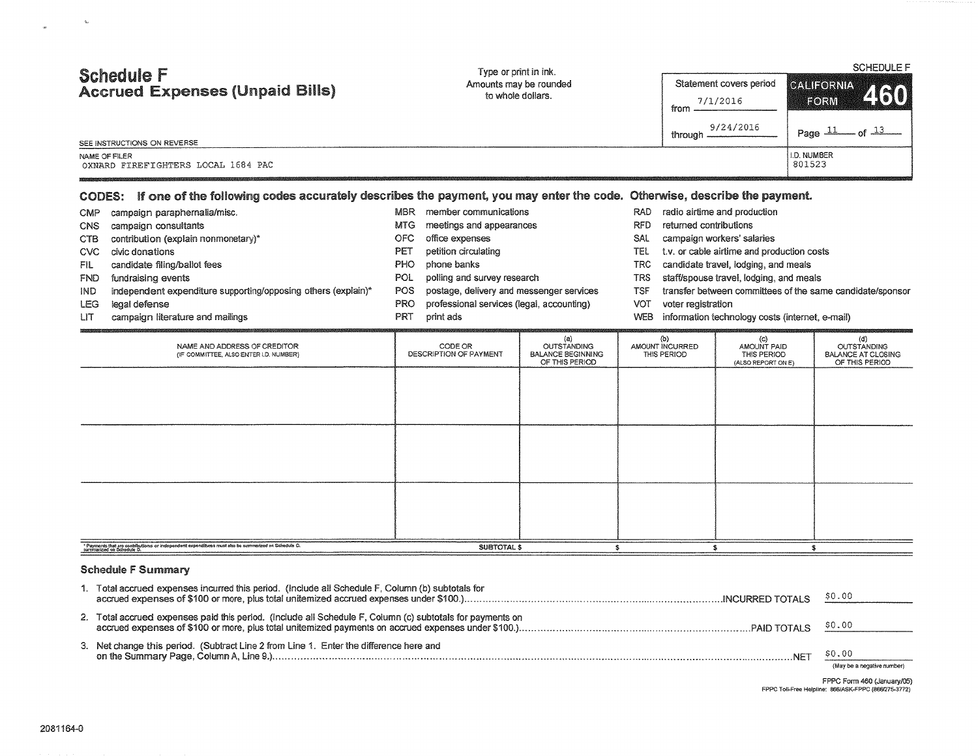| <b>Schedule F</b><br><b>Accrued Expenses (Unpaid Bills)</b>                                                                     | Type or print in ink.<br>Amounts may be rounded<br>to whole dollars. | Statement covers period<br>7/1/2016<br>from<br>9/24/2016<br>through — | <b>SCHEDULE F</b><br>CALIFORNIA<br>460<br>EORM<br>Page $\pm\pm$ |  |  |  |  |  |
|---------------------------------------------------------------------------------------------------------------------------------|----------------------------------------------------------------------|-----------------------------------------------------------------------|-----------------------------------------------------------------|--|--|--|--|--|
| SEE INSTRUCTIONS ON REVERSE<br>NAME OF FILER<br>OXNARD FIREFIGHTERS LOCAL 1684 PAC                                              |                                                                      |                                                                       | <b>ILD. NUMBER</b><br>801523                                    |  |  |  |  |  |
| CODES: If one of the following codes accurately describes the payment, you may enter the code. Otherwise, describe the payment. |                                                                      |                                                                       |                                                                 |  |  |  |  |  |

| <b>CMP</b> | campaign paraphernalia/misc.        | <b>MBR</b> | member communications       |
|------------|-------------------------------------|------------|-----------------------------|
| <b>CNS</b> | campaign consultants                | MTG.       | meetings and appearances    |
| CTB        | contribution (explain nonmonetary)* | OFC.       | office expenses             |
| CVC        | civic donations                     | PET        | petition circulating        |
| FIL        | candidate filing/ballot fees        | PHO.       | phone banks                 |
| <b>FND</b> | fundraising events                  | POL.       | polling and survey research |

- IND independent expenditure supporting/opposing others (explain)\* POS postage, delivery and messenger services
- 

 $\eta_{\rm d}$ 

UT campaign literature and mailings

- 
- -
	-
	-
	-
	-
- LEG legal defense PRO professional services (legal, accounting)
	- PRT print ads
- RAD radio airtime and production
- RFD returned contributions
- SAL campaign workers' salaries
- TEL t.v. or cable airtime and production costs
- TRC candidate travel, lodging, and meals
- TRS staff/spouse travel, lodging, and meals
- TSF transfer between committees of the same candidate/sponsor
- VOT voter registration
- WEB information technology costs (internet, e-mail)

| NAME AND ADDRESS OF CREDITOR<br>(IF COMMITTEE, ALSO ENTER I.D. NUMBER)                                                            | CODE OR<br>DESCRIPTION OF PAYMENT | (a)<br>OUTSTANDING<br><b>BALANCE BEGINNING</b><br>OF THIS PERIOD | (b)<br>AMOUNT INCURRED<br>THIS PERIOD | (c)<br>AMOUNT PAID<br>THIS PERIOD<br>(ALSO REPORT ON E) | (d)<br><b>OUTSTANDING</b><br><b>BALANCE AT CLOSING</b><br>OF THIS PERIOD |
|-----------------------------------------------------------------------------------------------------------------------------------|-----------------------------------|------------------------------------------------------------------|---------------------------------------|---------------------------------------------------------|--------------------------------------------------------------------------|
|                                                                                                                                   |                                   |                                                                  |                                       |                                                         |                                                                          |
|                                                                                                                                   |                                   |                                                                  |                                       |                                                         |                                                                          |
|                                                                                                                                   |                                   |                                                                  |                                       |                                                         |                                                                          |
|                                                                                                                                   |                                   |                                                                  |                                       |                                                         |                                                                          |
|                                                                                                                                   |                                   |                                                                  |                                       |                                                         |                                                                          |
|                                                                                                                                   |                                   |                                                                  |                                       |                                                         |                                                                          |
| * Payments that are contributions or independent expenditures must also be summarized on Schedule D.<br>summarized on Schedule D. | SUBTOTAL \$                       |                                                                  |                                       |                                                         |                                                                          |

#### Schedule F Summary

| Total accrued expenses incurred this period. (Include all Schedule F, Column (b) subtotals for            |                                            |
|-----------------------------------------------------------------------------------------------------------|--------------------------------------------|
| 2. Total accrued expenses paid this period. (include all Schedule F, Column (c) subtotals for payments on |                                            |
| 3. Net change this period. (Subtract Line 2 from Line 1. Enter the difference here and                    | $NFT$ \$0.00<br>(May he a negative mimber) |

**(May be a negative number)** 

FPPC Form 460 (January/05)<br>FPPC Toll-Free Helpline: 866/ASK-FPPC (866/275-3772)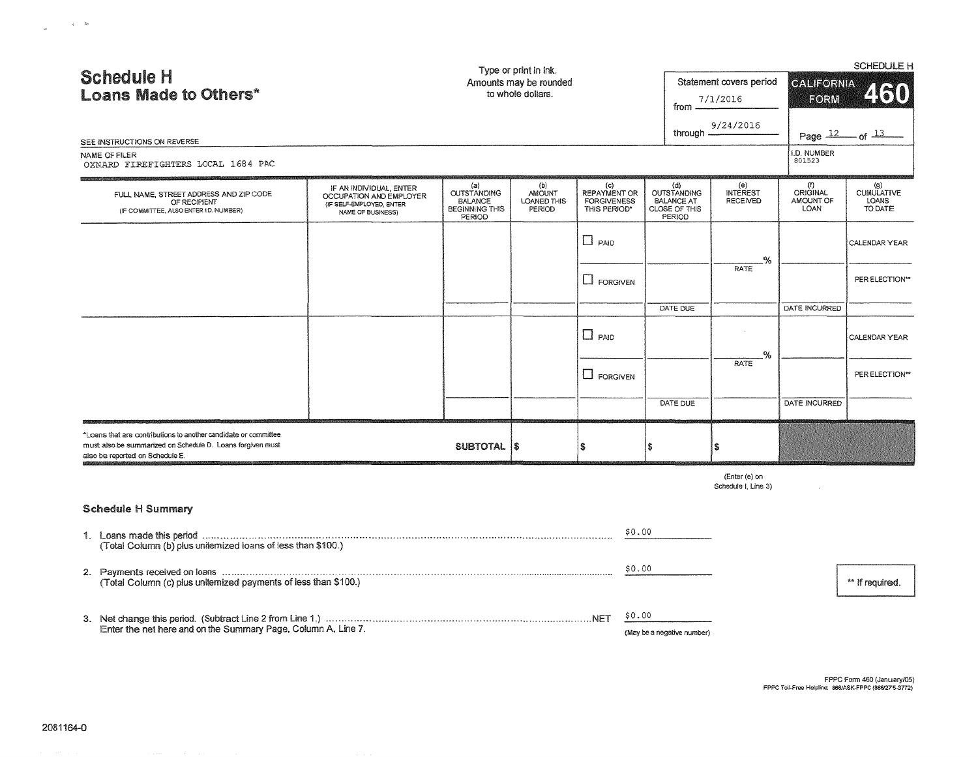| <b>Schedule H</b><br><b>Loans Made to Others*</b><br>SEE INSTRUCTIONS ON REVERSE                                                                                 |                                                                                                     |                                                                                | Type or print in ink.<br>Amounts may be rounded<br>to whole dollars. |                                                           |        | from –<br>through $-\frac{1}{2}$                                   | Statement covers period<br>7/1/2016<br>9/24/2016 | <b>CALIFORNIA</b><br>FORM<br>I.D. NUMBER    | <b>SCHEDULE H</b><br>460<br>Page $\frac{12}{10}$ of $\frac{13}{10}$ |
|------------------------------------------------------------------------------------------------------------------------------------------------------------------|-----------------------------------------------------------------------------------------------------|--------------------------------------------------------------------------------|----------------------------------------------------------------------|-----------------------------------------------------------|--------|--------------------------------------------------------------------|--------------------------------------------------|---------------------------------------------|---------------------------------------------------------------------|
| NAME OF FILER<br>OXNARD FIREFIGHTERS LOCAL 1684 PAC                                                                                                              |                                                                                                     |                                                                                |                                                                      |                                                           |        |                                                                    |                                                  | 801523                                      |                                                                     |
| FULL NAME, STREET ADDRESS AND ZIP CODE<br>OF RECIPIENT<br>(IF COMMITTEE, ALSO ENTER I.D. NUMBER)                                                                 | IF AN INDIVIDUAL, ENTER<br>OCCUPATION AND EMPLOYER<br>(IF SELF-EMPLOYED, ENTER<br>NAME OF BUSINESS) | (a)<br>OUTSTANDING<br><b>BALANCE</b><br><b>BEGINNING THIS</b><br><b>PERIOD</b> | (b)<br>AMOUNT<br>LOANED THIS<br>PERIOD                               | (c)<br>REPAYMENT OR<br><b>FORGIVENESS</b><br>THIS PERIOD* |        | (d)<br>OUTSTANDING<br><b>BALANCE AT</b><br>CLOSE OF THIS<br>PERIOD | (e)<br><b>INTEREST</b><br><b>RECEIVED</b>        | (f)<br>ORIGINAL<br>AMOUNT OF<br><b>LOAN</b> | $(g)$ CUMULATIVE<br>LOANS<br>TO DATE                                |
|                                                                                                                                                                  |                                                                                                     |                                                                                |                                                                      | $\Box$ PAID                                               |        |                                                                    | %.                                               |                                             | CALENDAR YEAR                                                       |
|                                                                                                                                                                  |                                                                                                     |                                                                                |                                                                      | $\Box$ FORGIVEN                                           |        |                                                                    | <b>RATE</b>                                      |                                             | PER ELECTION**                                                      |
|                                                                                                                                                                  |                                                                                                     |                                                                                |                                                                      |                                                           |        | DATE DUE                                                           |                                                  | DATE INCURRED                               |                                                                     |
|                                                                                                                                                                  |                                                                                                     |                                                                                |                                                                      | $\Box$ PAID                                               |        |                                                                    | -%                                               |                                             | CALENDAR YEAR                                                       |
|                                                                                                                                                                  |                                                                                                     |                                                                                |                                                                      | $\Box$ FORGIVEN                                           |        |                                                                    | <b>RATE</b>                                      |                                             | PER ELECTION**                                                      |
|                                                                                                                                                                  |                                                                                                     |                                                                                |                                                                      |                                                           |        | DATE DUE                                                           |                                                  | DATE INCURRED                               |                                                                     |
| *Loans that are contributions to another candidate or committee<br>must also be summarized on Schedule D. Loans forgiven must<br>also be reported on Schedule E. |                                                                                                     | SUBTOTAL IS                                                                    |                                                                      | 秀                                                         |        |                                                                    | Ś.                                               |                                             |                                                                     |
|                                                                                                                                                                  |                                                                                                     |                                                                                |                                                                      |                                                           |        |                                                                    | (Enter (e) on<br>Schedule I, Line 3)             |                                             |                                                                     |
| <b>Schedule H Summary</b>                                                                                                                                        |                                                                                                     |                                                                                |                                                                      |                                                           |        |                                                                    |                                                  |                                             |                                                                     |
| (Total Column (b) plus uniternized loans of less than \$100.)                                                                                                    |                                                                                                     |                                                                                |                                                                      |                                                           | \$0.00 |                                                                    |                                                  |                                             |                                                                     |
| (Total Column (c) plus uniternized payments of less than \$100.)                                                                                                 |                                                                                                     |                                                                                |                                                                      |                                                           | \$0.00 |                                                                    |                                                  |                                             | ** If required.                                                     |
|                                                                                                                                                                  |                                                                                                     |                                                                                |                                                                      |                                                           | \$0.00 |                                                                    |                                                  |                                             |                                                                     |
| Enter the net here and on the Summary Page, Column A, Line 7.                                                                                                    |                                                                                                     |                                                                                |                                                                      |                                                           |        | (May be a negative number)                                         |                                                  |                                             |                                                                     |

 $\label{eq:2.1} \mathbf{y} = -\mathbf{h} \mathbf{y}$  as